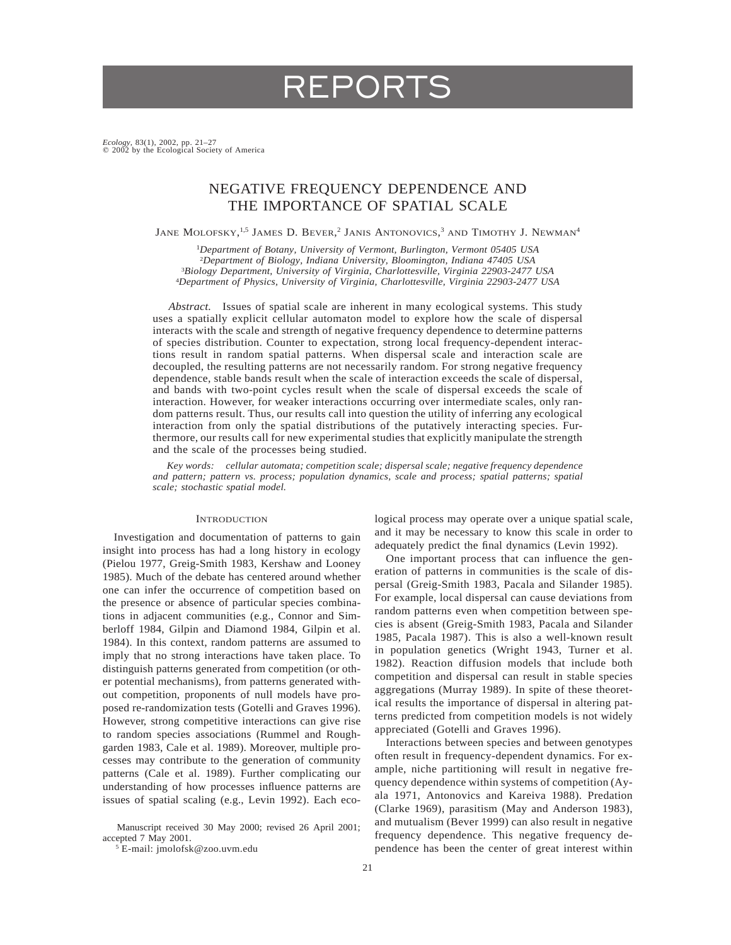# REPORTS

*Ecology,* 83(1), 2002, pp. 21–27<br>© 2002 by the Ecological Society of America

# NEGATIVE FREQUENCY DEPENDENCE AND THE IMPORTANCE OF SPATIAL SCALE

JANE MOLOFSKY, <sup>1,5</sup> JAMES D. BEVER,<sup>2</sup> JANIS ANTONOVICS,<sup>3</sup> AND TIMOTHY J. NEWMAN<sup>4</sup>

 *Department of Botany, University of Vermont, Burlington, Vermont 05405 USA Department of Biology, Indiana University, Bloomington, Indiana 47405 USA Biology Department, University of Virginia, Charlottesville, Virginia 22903-2477 USA Department of Physics, University of Virginia, Charlottesville, Virginia 22903-2477 USA*

*Abstract.* Issues of spatial scale are inherent in many ecological systems. This study uses a spatially explicit cellular automaton model to explore how the scale of dispersal interacts with the scale and strength of negative frequency dependence to determine patterns of species distribution. Counter to expectation, strong local frequency-dependent interactions result in random spatial patterns. When dispersal scale and interaction scale are decoupled, the resulting patterns are not necessarily random. For strong negative frequency dependence, stable bands result when the scale of interaction exceeds the scale of dispersal, and bands with two-point cycles result when the scale of dispersal exceeds the scale of interaction. However, for weaker interactions occurring over intermediate scales, only random patterns result. Thus, our results call into question the utility of inferring any ecological interaction from only the spatial distributions of the putatively interacting species. Furthermore, our results call for new experimental studies that explicitly manipulate the strength and the scale of the processes being studied.

*Key words: cellular automata; competition scale; dispersal scale; negative frequency dependence and pattern; pattern vs. process; population dynamics, scale and process; spatial patterns; spatial scale; stochastic spatial model.*

### **INTRODUCTION**

Investigation and documentation of patterns to gain insight into process has had a long history in ecology (Pielou 1977, Greig-Smith 1983, Kershaw and Looney 1985). Much of the debate has centered around whether one can infer the occurrence of competition based on the presence or absence of particular species combinations in adjacent communities (e.g., Connor and Simberloff 1984, Gilpin and Diamond 1984, Gilpin et al. 1984). In this context, random patterns are assumed to imply that no strong interactions have taken place. To distinguish patterns generated from competition (or other potential mechanisms), from patterns generated without competition, proponents of null models have proposed re-randomization tests (Gotelli and Graves 1996). However, strong competitive interactions can give rise to random species associations (Rummel and Roughgarden 1983, Cale et al. 1989). Moreover, multiple processes may contribute to the generation of community patterns (Cale et al. 1989). Further complicating our understanding of how processes influence patterns are issues of spatial scaling (e.g., Levin 1992). Each eco-

Manuscript received 30 May 2000; revised 26 April 2001; accepted 7 May 2001.

<sup>5</sup> E-mail: jmolofsk@zoo.uvm.edu

logical process may operate over a unique spatial scale, and it may be necessary to know this scale in order to adequately predict the final dynamics (Levin 1992).

One important process that can influence the generation of patterns in communities is the scale of dispersal (Greig-Smith 1983, Pacala and Silander 1985). For example, local dispersal can cause deviations from random patterns even when competition between species is absent (Greig-Smith 1983, Pacala and Silander 1985, Pacala 1987). This is also a well-known result in population genetics (Wright 1943, Turner et al. 1982). Reaction diffusion models that include both competition and dispersal can result in stable species aggregations (Murray 1989). In spite of these theoretical results the importance of dispersal in altering patterns predicted from competition models is not widely appreciated (Gotelli and Graves 1996).

Interactions between species and between genotypes often result in frequency-dependent dynamics. For example, niche partitioning will result in negative frequency dependence within systems of competition (Ayala 1971, Antonovics and Kareiva 1988). Predation (Clarke 1969), parasitism (May and Anderson 1983), and mutualism (Bever 1999) can also result in negative frequency dependence. This negative frequency dependence has been the center of great interest within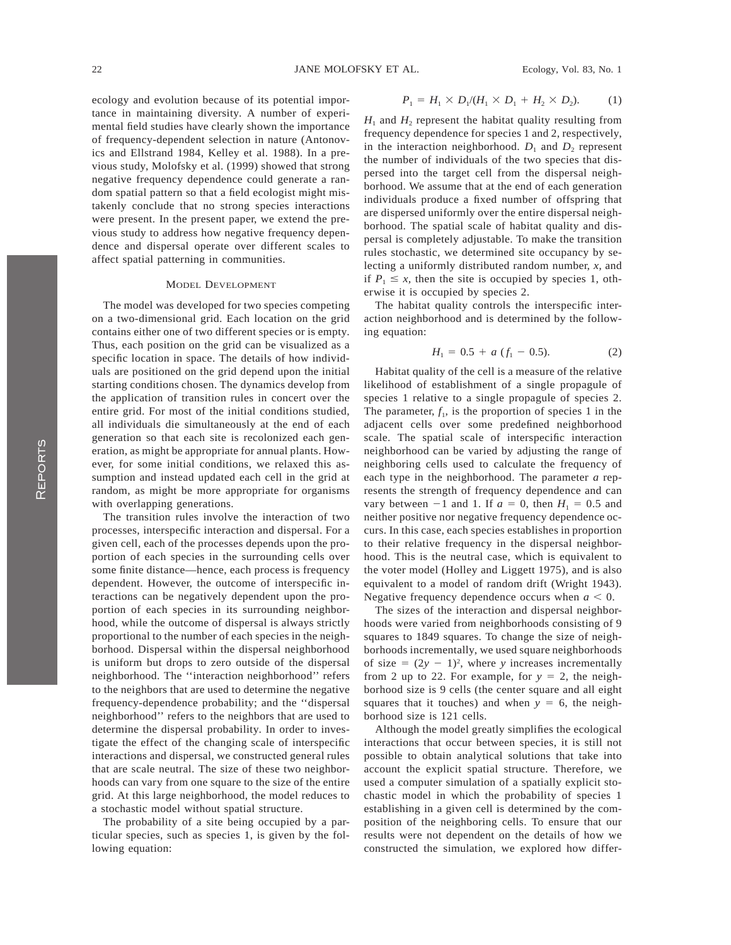ecology and evolution because of its potential importance in maintaining diversity. A number of experimental field studies have clearly shown the importance of frequency-dependent selection in nature (Antonovics and Ellstrand 1984, Kelley et al. 1988). In a previous study, Molofsky et al. (1999) showed that strong negative frequency dependence could generate a random spatial pattern so that a field ecologist might mistakenly conclude that no strong species interactions were present. In the present paper, we extend the previous study to address how negative frequency dependence and dispersal operate over different scales to affect spatial patterning in communities.

# MODEL DEVELOPMENT

The model was developed for two species competing on a two-dimensional grid. Each location on the grid contains either one of two different species or is empty. Thus, each position on the grid can be visualized as a specific location in space. The details of how individuals are positioned on the grid depend upon the initial starting conditions chosen. The dynamics develop from the application of transition rules in concert over the entire grid. For most of the initial conditions studied, all individuals die simultaneously at the end of each generation so that each site is recolonized each generation, as might be appropriate for annual plants. However, for some initial conditions, we relaxed this assumption and instead updated each cell in the grid at random, as might be more appropriate for organisms with overlapping generations.

The transition rules involve the interaction of two processes, interspecific interaction and dispersal. For a given cell, each of the processes depends upon the proportion of each species in the surrounding cells over some finite distance—hence, each process is frequency dependent. However, the outcome of interspecific interactions can be negatively dependent upon the proportion of each species in its surrounding neighborhood, while the outcome of dispersal is always strictly proportional to the number of each species in the neighborhood. Dispersal within the dispersal neighborhood is uniform but drops to zero outside of the dispersal neighborhood. The ''interaction neighborhood'' refers to the neighbors that are used to determine the negative frequency-dependence probability; and the ''dispersal neighborhood'' refers to the neighbors that are used to determine the dispersal probability. In order to investigate the effect of the changing scale of interspecific interactions and dispersal, we constructed general rules that are scale neutral. The size of these two neighborhoods can vary from one square to the size of the entire grid. At this large neighborhood, the model reduces to a stochastic model without spatial structure.

The probability of a site being occupied by a particular species, such as species 1, is given by the following equation:

$$
P_1 = H_1 \times D_1 / (H_1 \times D_1 + H_2 \times D_2). \tag{1}
$$

 $H_1$  and  $H_2$  represent the habitat quality resulting from frequency dependence for species 1 and 2, respectively, in the interaction neighborhood.  $D_1$  and  $D_2$  represent the number of individuals of the two species that dispersed into the target cell from the dispersal neighborhood. We assume that at the end of each generation individuals produce a fixed number of offspring that are dispersed uniformly over the entire dispersal neighborhood. The spatial scale of habitat quality and dispersal is completely adjustable. To make the transition rules stochastic, we determined site occupancy by selecting a uniformly distributed random number, *x,* and if  $P_1 \leq x$ , then the site is occupied by species 1, otherwise it is occupied by species 2.

The habitat quality controls the interspecific interaction neighborhood and is determined by the following equation:

$$
H_1 = 0.5 + a (f_1 - 0.5). \tag{2}
$$

Habitat quality of the cell is a measure of the relative likelihood of establishment of a single propagule of species 1 relative to a single propagule of species 2. The parameter,  $f_1$ , is the proportion of species 1 in the adjacent cells over some predefined neighborhood scale. The spatial scale of interspecific interaction neighborhood can be varied by adjusting the range of neighboring cells used to calculate the frequency of each type in the neighborhood. The parameter *a* represents the strength of frequency dependence and can vary between  $-1$  and 1. If  $a = 0$ , then  $H_1 = 0.5$  and neither positive nor negative frequency dependence occurs. In this case, each species establishes in proportion to their relative frequency in the dispersal neighborhood. This is the neutral case, which is equivalent to the voter model (Holley and Liggett 1975), and is also equivalent to a model of random drift (Wright 1943). Negative frequency dependence occurs when  $a < 0$ .

The sizes of the interaction and dispersal neighborhoods were varied from neighborhoods consisting of 9 squares to 1849 squares. To change the size of neighborhoods incrementally, we used square neighborhoods of size  $=(2y - 1)^2$ , where *y* increases incrementally from 2 up to 22. For example, for  $y = 2$ , the neighborhood size is 9 cells (the center square and all eight squares that it touches) and when  $y = 6$ , the neighborhood size is 121 cells.

Although the model greatly simplifies the ecological interactions that occur between species, it is still not possible to obtain analytical solutions that take into account the explicit spatial structure. Therefore, we used a computer simulation of a spatially explicit stochastic model in which the probability of species 1 establishing in a given cell is determined by the composition of the neighboring cells. To ensure that our results were not dependent on the details of how we constructed the simulation, we explored how differ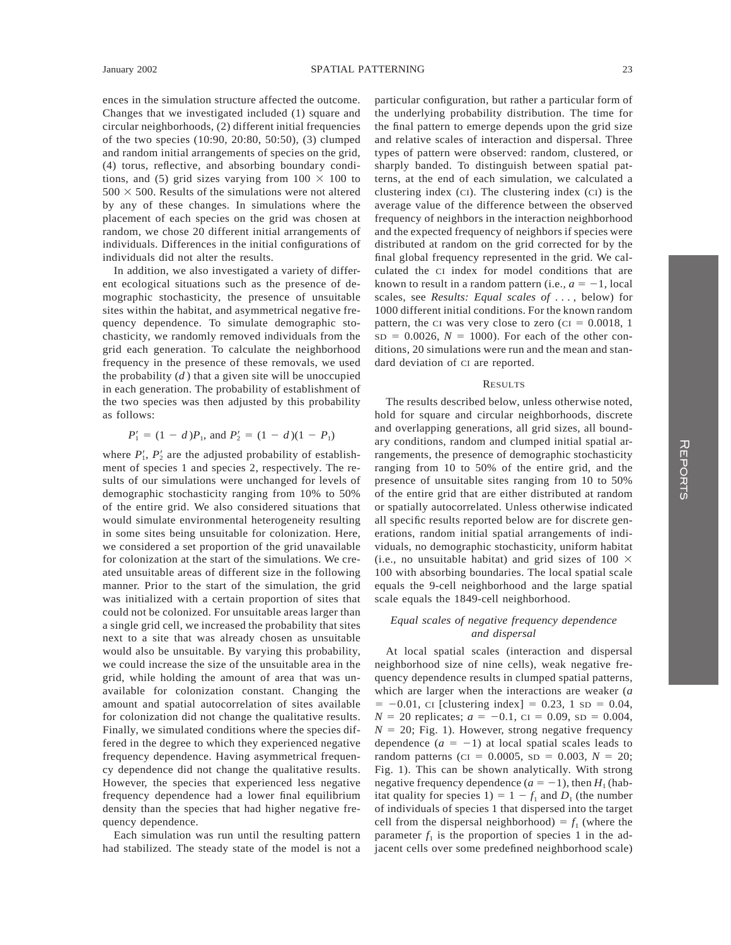ences in the simulation structure affected the outcome. Changes that we investigated included (1) square and circular neighborhoods, (2) different initial frequencies of the two species (10:90, 20:80, 50:50), (3) clumped and random initial arrangements of species on the grid, (4) torus, reflective, and absorbing boundary conditions, and (5) grid sizes varying from  $100 \times 100$  to  $500 \times 500$ . Results of the simulations were not altered by any of these changes. In simulations where the placement of each species on the grid was chosen at random, we chose 20 different initial arrangements of individuals. Differences in the initial configurations of individuals did not alter the results.

In addition, we also investigated a variety of different ecological situations such as the presence of demographic stochasticity, the presence of unsuitable sites within the habitat, and asymmetrical negative frequency dependence. To simulate demographic stochasticity, we randomly removed individuals from the grid each generation. To calculate the neighborhood frequency in the presence of these removals, we used the probability  $(d)$  that a given site will be unoccupied in each generation. The probability of establishment of the two species was then adjusted by this probability as follows:

$$
P'_1 = (1 - d)P_1
$$
, and  $P'_2 = (1 - d)(1 - P_1)$ 

where  $P_1$ ,  $P_2$  are the adjusted probability of establishment of species 1 and species 2, respectively. The results of our simulations were unchanged for levels of demographic stochasticity ranging from 10% to 50% of the entire grid. We also considered situations that would simulate environmental heterogeneity resulting in some sites being unsuitable for colonization. Here, we considered a set proportion of the grid unavailable for colonization at the start of the simulations. We created unsuitable areas of different size in the following manner. Prior to the start of the simulation, the grid was initialized with a certain proportion of sites that could not be colonized. For unsuitable areas larger than a single grid cell, we increased the probability that sites next to a site that was already chosen as unsuitable would also be unsuitable. By varying this probability, we could increase the size of the unsuitable area in the grid, while holding the amount of area that was unavailable for colonization constant. Changing the amount and spatial autocorrelation of sites available for colonization did not change the qualitative results. Finally, we simulated conditions where the species differed in the degree to which they experienced negative frequency dependence. Having asymmetrical frequency dependence did not change the qualitative results. However, the species that experienced less negative frequency dependence had a lower final equilibrium density than the species that had higher negative frequency dependence.

Each simulation was run until the resulting pattern had stabilized. The steady state of the model is not a

particular configuration, but rather a particular form of the underlying probability distribution. The time for the final pattern to emerge depends upon the grid size and relative scales of interaction and dispersal. Three types of pattern were observed: random, clustered, or sharply banded. To distinguish between spatial patterns, at the end of each simulation, we calculated a clustering index (CI). The clustering index (CI) is the average value of the difference between the observed frequency of neighbors in the interaction neighborhood and the expected frequency of neighbors if species were distributed at random on the grid corrected for by the final global frequency represented in the grid. We calculated the CI index for model conditions that are known to result in a random pattern (i.e.,  $a = -1$ , local scales, see *Results: Equal scales of* ..., below) for 1000 different initial conditions. For the known random pattern, the CI was very close to zero ( $CI = 0.0018$ , 1  $SD = 0.0026$ ,  $N = 1000$ ). For each of the other conditions, 20 simulations were run and the mean and standard deviation of CI are reported.

#### RESULTS

The results described below, unless otherwise noted, hold for square and circular neighborhoods, discrete and overlapping generations, all grid sizes, all boundary conditions, random and clumped initial spatial arrangements, the presence of demographic stochasticity ranging from 10 to 50% of the entire grid, and the presence of unsuitable sites ranging from 10 to 50% of the entire grid that are either distributed at random or spatially autocorrelated. Unless otherwise indicated all specific results reported below are for discrete generations, random initial spatial arrangements of individuals, no demographic stochasticity, uniform habitat (i.e., no unsuitable habitat) and grid sizes of  $100 \times$ 100 with absorbing boundaries. The local spatial scale equals the 9-cell neighborhood and the large spatial scale equals the 1849-cell neighborhood.

# *Equal scales of negative frequency dependence and dispersal*

At local spatial scales (interaction and dispersal neighborhood size of nine cells), weak negative frequency dependence results in clumped spatial patterns, which are larger when the interactions are weaker (*a*  $= -0.01$ , CI [clustering index] = 0.23, 1 sD = 0.04,  $N = 20$  replicates;  $a = -0.1$ , CI = 0.09, SD = 0.004,  $N = 20$ ; Fig. 1). However, strong negative frequency dependence  $(a = -1)$  at local spatial scales leads to random patterns (CI =  $0.0005$ , SD =  $0.003$ ,  $N = 20$ ; Fig. 1). This can be shown analytically. With strong negative frequency dependence  $(a = -1)$ , then  $H_1$  (habitat quality for species 1) =  $1 - f_1$  and *D*<sub>1</sub> (the number of individuals of species 1 that dispersed into the target cell from the dispersal neighborhood) =  $f_1$  (where the parameter  $f_1$  is the proportion of species 1 in the adjacent cells over some predefined neighborhood scale)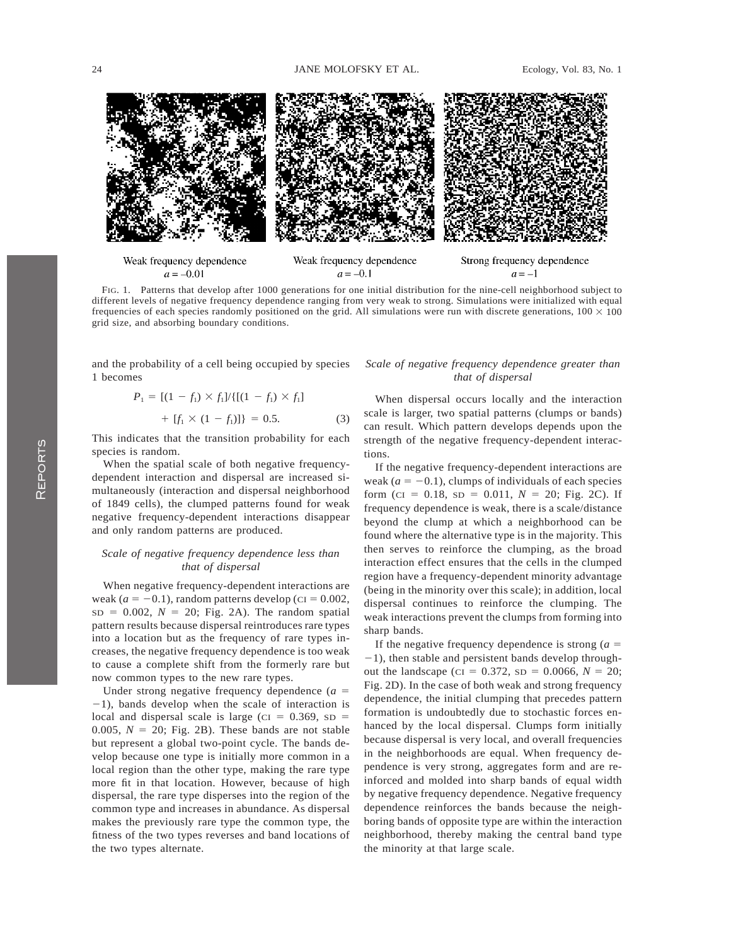

Weak frequency dependence  $a = -0.01$ 

Weak frequency dependence  $a = -0.1$ 

Strong frequency dependence  $a=-1$ 

FIG. 1. Patterns that develop after 1000 generations for one initial distribution for the nine-cell neighborhood subject to different levels of negative frequency dependence ranging from very weak to strong. Simulations were initialized with equal frequencies of each species randomly positioned on the grid. All simulations were run with discrete generations,  $100 \times 100$ grid size, and absorbing boundary conditions.

and the probability of a cell being occupied by species 1 becomes

$$
P_1 = [(1 - f_1) \times f_1] / \{[(1 - f_1) \times f_1] + [f_1 \times (1 - f_1)]\} = 0.5.
$$
 (3)

This indicates that the transition probability for each species is random.

When the spatial scale of both negative frequencydependent interaction and dispersal are increased simultaneously (interaction and dispersal neighborhood of 1849 cells), the clumped patterns found for weak negative frequency-dependent interactions disappear and only random patterns are produced.

## *Scale of negative frequency dependence less than that of dispersal*

When negative frequency-dependent interactions are weak ( $a = -0.1$ ), random patterns develop ( $CI = 0.002$ ,  $SD = 0.002$ ,  $N = 20$ ; Fig. 2A). The random spatial pattern results because dispersal reintroduces rare types into a location but as the frequency of rare types increases, the negative frequency dependence is too weak to cause a complete shift from the formerly rare but now common types to the new rare types.

Under strong negative frequency dependence  $(a =$  $-1$ ), bands develop when the scale of interaction is local and dispersal scale is large ( $CI = 0.369$ ,  $SD =$ 0.005,  $N = 20$ ; Fig. 2B). These bands are not stable but represent a global two-point cycle. The bands develop because one type is initially more common in a local region than the other type, making the rare type more fit in that location. However, because of high dispersal, the rare type disperses into the region of the common type and increases in abundance. As dispersal makes the previously rare type the common type, the fitness of the two types reverses and band locations of the two types alternate.

# *Scale of negative frequency dependence greater than that of dispersal*

When dispersal occurs locally and the interaction scale is larger, two spatial patterns (clumps or bands) can result. Which pattern develops depends upon the strength of the negative frequency-dependent interactions.

If the negative frequency-dependent interactions are weak ( $a = -0.1$ ), clumps of individuals of each species form (CI = 0.18,  $SD = 0.011$ ,  $N = 20$ ; Fig. 2C). If frequency dependence is weak, there is a scale/distance beyond the clump at which a neighborhood can be found where the alternative type is in the majority. This then serves to reinforce the clumping, as the broad interaction effect ensures that the cells in the clumped region have a frequency-dependent minority advantage (being in the minority over this scale); in addition, local dispersal continues to reinforce the clumping. The weak interactions prevent the clumps from forming into sharp bands.

If the negative frequency dependence is strong  $(a =$  $-1$ ), then stable and persistent bands develop throughout the landscape ( $CI = 0.372$ ,  $SD = 0.0066$ ,  $N = 20$ ; Fig. 2D). In the case of both weak and strong frequency dependence, the initial clumping that precedes pattern formation is undoubtedly due to stochastic forces enhanced by the local dispersal. Clumps form initially because dispersal is very local, and overall frequencies in the neighborhoods are equal. When frequency dependence is very strong, aggregates form and are reinforced and molded into sharp bands of equal width by negative frequency dependence. Negative frequency dependence reinforces the bands because the neighboring bands of opposite type are within the interaction neighborhood, thereby making the central band type the minority at that large scale.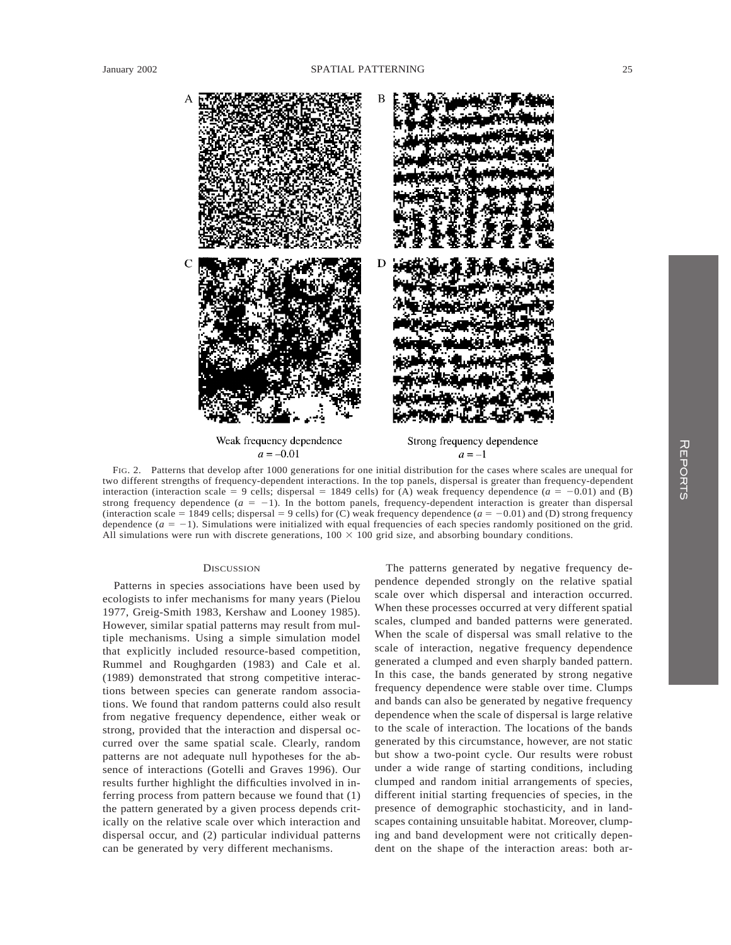$\epsilon$ 



Weak frequency dependence  $a = -0.01$ 

Strong frequency dependence  $a = -1$ 

FIG. 2. Patterns that develop after 1000 generations for one initial distribution for the cases where scales are unequal for two different strengths of frequency-dependent interactions. In the top panels, dispersal is greater than frequency-dependent interaction (interaction scale = 9 cells; dispersal = 1849 cells) for  $\vec{A}$ ) weak frequency dependence (*a* = -0.01) and (B) strong frequency dependence  $(a = -1)$ . In the bottom panels, frequency-dependent interaction is greater than dispersal (interaction scale = 1849 cells; dispersal = 9 cells) for (C) weak frequency dependence ( $a = -0.01$ ) and (D) strong frequency dependence  $(a = -1)$ . Simulations were initialized with equal frequencies of each species randomly positioned on the grid. All simulations were run with discrete generations,  $100 \times 100$  grid size, and absorbing boundary conditions.

#### **DISCUSSION**

Patterns in species associations have been used by ecologists to infer mechanisms for many years (Pielou 1977, Greig-Smith 1983, Kershaw and Looney 1985). However, similar spatial patterns may result from multiple mechanisms. Using a simple simulation model that explicitly included resource-based competition, Rummel and Roughgarden (1983) and Cale et al. (1989) demonstrated that strong competitive interactions between species can generate random associations. We found that random patterns could also result from negative frequency dependence, either weak or strong, provided that the interaction and dispersal occurred over the same spatial scale. Clearly, random patterns are not adequate null hypotheses for the absence of interactions (Gotelli and Graves 1996). Our results further highlight the difficulties involved in inferring process from pattern because we found that (1) the pattern generated by a given process depends critically on the relative scale over which interaction and dispersal occur, and (2) particular individual patterns can be generated by very different mechanisms.

The patterns generated by negative frequency dependence depended strongly on the relative spatial scale over which dispersal and interaction occurred. When these processes occurred at very different spatial scales, clumped and banded patterns were generated. When the scale of dispersal was small relative to the scale of interaction, negative frequency dependence generated a clumped and even sharply banded pattern. In this case, the bands generated by strong negative frequency dependence were stable over time. Clumps and bands can also be generated by negative frequency dependence when the scale of dispersal is large relative to the scale of interaction. The locations of the bands generated by this circumstance, however, are not static but show a two-point cycle. Our results were robust under a wide range of starting conditions, including clumped and random initial arrangements of species, different initial starting frequencies of species, in the presence of demographic stochasticity, and in landscapes containing unsuitable habitat. Moreover, clumping and band development were not critically dependent on the shape of the interaction areas: both ar-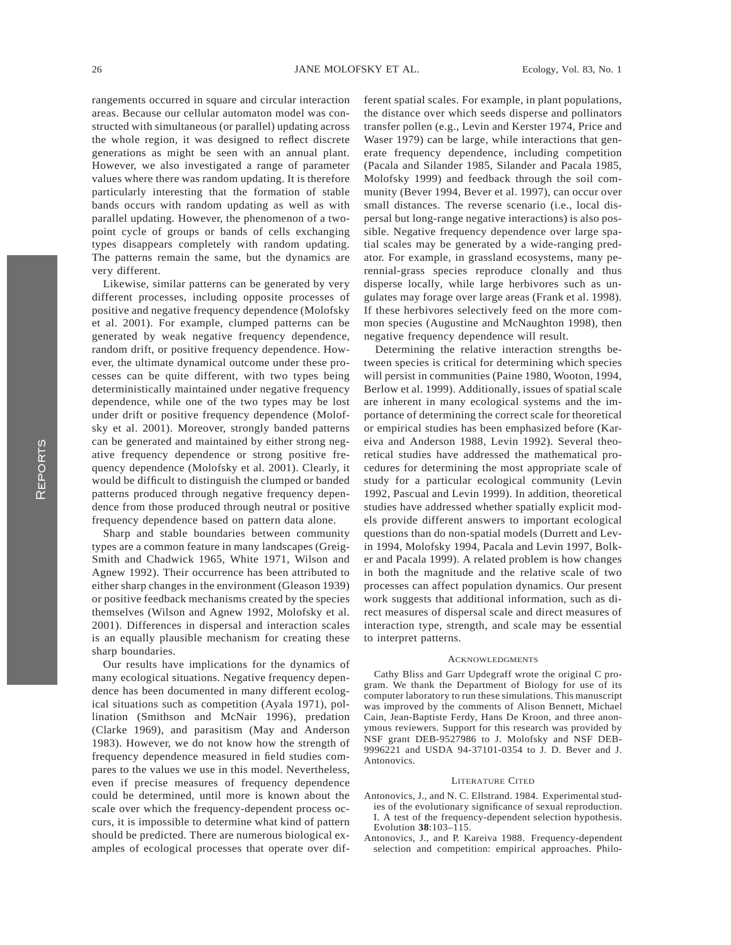rangements occurred in square and circular interaction areas. Because our cellular automaton model was constructed with simultaneous (or parallel) updating across the whole region, it was designed to reflect discrete generations as might be seen with an annual plant. However, we also investigated a range of parameter values where there was random updating. It is therefore particularly interesting that the formation of stable bands occurs with random updating as well as with parallel updating. However, the phenomenon of a twopoint cycle of groups or bands of cells exchanging types disappears completely with random updating. The patterns remain the same, but the dynamics are very different.

Likewise, similar patterns can be generated by very different processes, including opposite processes of positive and negative frequency dependence (Molofsky et al. 2001). For example, clumped patterns can be generated by weak negative frequency dependence, random drift, or positive frequency dependence. However, the ultimate dynamical outcome under these processes can be quite different, with two types being deterministically maintained under negative frequency dependence, while one of the two types may be lost under drift or positive frequency dependence (Molofsky et al. 2001). Moreover, strongly banded patterns can be generated and maintained by either strong negative frequency dependence or strong positive frequency dependence (Molofsky et al. 2001). Clearly, it would be difficult to distinguish the clumped or banded patterns produced through negative frequency dependence from those produced through neutral or positive frequency dependence based on pattern data alone.

Sharp and stable boundaries between community types are a common feature in many landscapes (Greig-Smith and Chadwick 1965, White 1971, Wilson and Agnew 1992). Their occurrence has been attributed to either sharp changes in the environment (Gleason 1939) or positive feedback mechanisms created by the species themselves (Wilson and Agnew 1992, Molofsky et al. 2001). Differences in dispersal and interaction scales is an equally plausible mechanism for creating these sharp boundaries.

Our results have implications for the dynamics of many ecological situations. Negative frequency dependence has been documented in many different ecological situations such as competition (Ayala 1971), pollination (Smithson and McNair 1996), predation (Clarke 1969), and parasitism (May and Anderson 1983). However, we do not know how the strength of frequency dependence measured in field studies compares to the values we use in this model. Nevertheless, even if precise measures of frequency dependence could be determined, until more is known about the scale over which the frequency-dependent process occurs, it is impossible to determine what kind of pattern should be predicted. There are numerous biological examples of ecological processes that operate over different spatial scales. For example, in plant populations, the distance over which seeds disperse and pollinators transfer pollen (e.g., Levin and Kerster 1974, Price and Waser 1979) can be large, while interactions that generate frequency dependence, including competition (Pacala and Silander 1985, Silander and Pacala 1985, Molofsky 1999) and feedback through the soil community (Bever 1994, Bever et al. 1997), can occur over small distances. The reverse scenario (i.e., local dispersal but long-range negative interactions) is also possible. Negative frequency dependence over large spatial scales may be generated by a wide-ranging predator. For example, in grassland ecosystems, many perennial-grass species reproduce clonally and thus disperse locally, while large herbivores such as ungulates may forage over large areas (Frank et al. 1998). If these herbivores selectively feed on the more common species (Augustine and McNaughton 1998), then negative frequency dependence will result.

Determining the relative interaction strengths between species is critical for determining which species will persist in communities (Paine 1980, Wooton, 1994, Berlow et al. 1999). Additionally, issues of spatial scale are inherent in many ecological systems and the importance of determining the correct scale for theoretical or empirical studies has been emphasized before (Kareiva and Anderson 1988, Levin 1992). Several theoretical studies have addressed the mathematical procedures for determining the most appropriate scale of study for a particular ecological community (Levin 1992, Pascual and Levin 1999). In addition, theoretical studies have addressed whether spatially explicit models provide different answers to important ecological questions than do non-spatial models (Durrett and Levin 1994, Molofsky 1994, Pacala and Levin 1997, Bolker and Pacala 1999). A related problem is how changes in both the magnitude and the relative scale of two processes can affect population dynamics. Our present work suggests that additional information, such as direct measures of dispersal scale and direct measures of interaction type, strength, and scale may be essential to interpret patterns.

#### **ACKNOWLEDGMENTS**

Cathy Bliss and Garr Updegraff wrote the original C program. We thank the Department of Biology for use of its computer laboratory to run these simulations. This manuscript was improved by the comments of Alison Bennett, Michael Cain, Jean-Baptiste Ferdy, Hans De Kroon, and three anonymous reviewers. Support for this research was provided by NSF grant DEB-9527986 to J. Molofsky and NSF DEB-9996221 and USDA 94-37101-0354 to J. D. Bever and J. Antonovics.

#### LITERATURE CITED

- Antonovics, J., and N. C. Ellstrand. 1984. Experimental studies of the evolutionary significance of sexual reproduction. I. A test of the frequency-dependent selection hypothesis. Evolution **38**:103–115.
- Antonovics, J., and P. Kareiva 1988. Frequency-dependent selection and competition: empirical approaches. Philo-